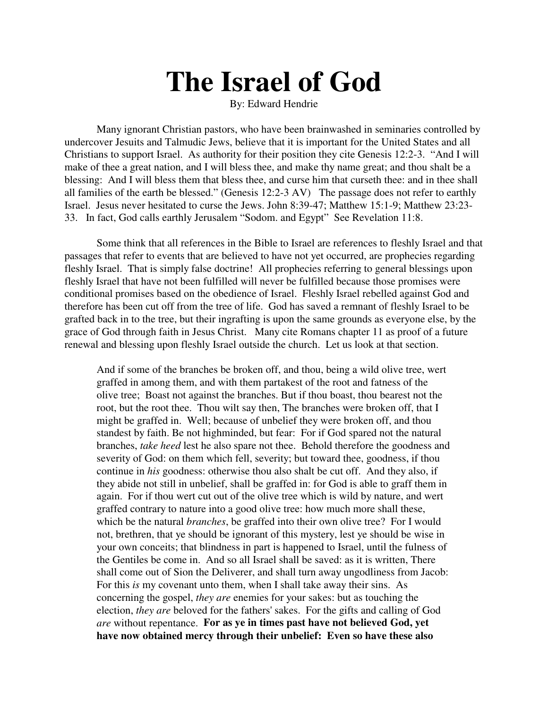# **The Israel of God**

By: Edward Hendrie

Many ignorant Christian pastors, who have been brainwashed in seminaries controlled by undercover Jesuits and Talmudic Jews, believe that it is important for the United States and all Christians to support Israel. As authority for their position they cite Genesis 12:2-3. "And I will make of thee a great nation, and I will bless thee, and make thy name great; and thou shalt be a blessing: And I will bless them that bless thee, and curse him that curseth thee: and in thee shall all families of the earth be blessed." (Genesis 12:2-3 AV) The passage does not refer to earthly Israel. Jesus never hesitated to curse the Jews. John 8:39-47; Matthew 15:1-9; Matthew 23:23- 33. In fact, God calls earthly Jerusalem "Sodom. and Egypt" See Revelation 11:8.

Some think that all references in the Bible to Israel are references to fleshly Israel and that passages that refer to events that are believed to have not yet occurred, are prophecies regarding fleshly Israel. That is simply false doctrine! All prophecies referring to general blessings upon fleshly Israel that have not been fulfilled will never be fulfilled because those promises were conditional promises based on the obedience of Israel. Fleshly Israel rebelled against God and therefore has been cut off from the tree of life. God has saved a remnant of fleshly Israel to be grafted back in to the tree, but their ingrafting is upon the same grounds as everyone else, by the grace of God through faith in Jesus Christ. Many cite Romans chapter 11 as proof of a future renewal and blessing upon fleshly Israel outside the church. Let us look at that section.

And if some of the branches be broken off, and thou, being a wild olive tree, wert graffed in among them, and with them partakest of the root and fatness of the olive tree; Boast not against the branches. But if thou boast, thou bearest not the root, but the root thee. Thou wilt say then, The branches were broken off, that I might be graffed in. Well; because of unbelief they were broken off, and thou standest by faith. Be not highminded, but fear: For if God spared not the natural branches, *take heed* lest he also spare not thee. Behold therefore the goodness and severity of God: on them which fell, severity; but toward thee, goodness, if thou continue in *his* goodness: otherwise thou also shalt be cut off. And they also, if they abide not still in unbelief, shall be graffed in: for God is able to graff them in again. For if thou wert cut out of the olive tree which is wild by nature, and wert graffed contrary to nature into a good olive tree: how much more shall these, which be the natural *branches*, be graffed into their own olive tree? For I would not, brethren, that ye should be ignorant of this mystery, lest ye should be wise in your own conceits; that blindness in part is happened to Israel, until the fulness of the Gentiles be come in. And so all Israel shall be saved: as it is written, There shall come out of Sion the Deliverer, and shall turn away ungodliness from Jacob: For this *is* my covenant unto them, when I shall take away their sins. As concerning the gospel, *they are* enemies for your sakes: but as touching the election, *they are* beloved for the fathers' sakes. For the gifts and calling of God *are* without repentance. **For as ye in times past have not believed God, yet have now obtained mercy through their unbelief: Even so have these also**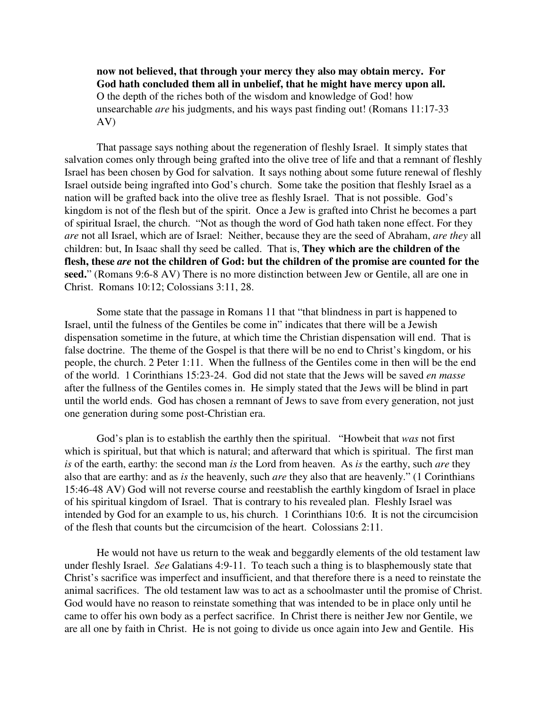**now not believed, that through your mercy they also may obtain mercy. For God hath concluded them all in unbelief, that he might have mercy upon all.** O the depth of the riches both of the wisdom and knowledge of God! how unsearchable *are* his judgments, and his ways past finding out! (Romans 11:17-33 AV)

That passage says nothing about the regeneration of fleshly Israel. It simply states that salvation comes only through being grafted into the olive tree of life and that a remnant of fleshly Israel has been chosen by God for salvation. It says nothing about some future renewal of fleshly Israel outside being ingrafted into God's church. Some take the position that fleshly Israel as a nation will be grafted back into the olive tree as fleshly Israel. That is not possible. God's kingdom is not of the flesh but of the spirit. Once a Jew is grafted into Christ he becomes a part of spiritual Israel, the church. "Not as though the word of God hath taken none effect. For they *are* not all Israel, which are of Israel: Neither, because they are the seed of Abraham, *are they* all children: but, In Isaac shall thy seed be called. That is, **They which are the children of the flesh, these** *are* **not the children of God: but the children of the promise are counted for the seed.**" (Romans 9:6-8 AV) There is no more distinction between Jew or Gentile, all are one in Christ. Romans 10:12; Colossians 3:11, 28.

Some state that the passage in Romans 11 that "that blindness in part is happened to Israel, until the fulness of the Gentiles be come in" indicates that there will be a Jewish dispensation sometime in the future, at which time the Christian dispensation will end. That is false doctrine. The theme of the Gospel is that there will be no end to Christ's kingdom, or his people, the church. 2 Peter 1:11. When the fullness of the Gentiles come in then will be the end of the world. 1 Corinthians 15:23-24. God did not state that the Jews will be saved *en masse* after the fullness of the Gentiles comes in. He simply stated that the Jews will be blind in part until the world ends. God has chosen a remnant of Jews to save from every generation, not just one generation during some post-Christian era.

God's plan is to establish the earthly then the spiritual. "Howbeit that *was* not first which is spiritual, but that which is natural; and afterward that which is spiritual. The first man *is* of the earth, earthy: the second man *is* the Lord from heaven. As *is* the earthy, such *are* they also that are earthy: and as *is* the heavenly, such *are* they also that are heavenly." (1 Corinthians 15:46-48 AV) God will not reverse course and reestablish the earthly kingdom of Israel in place of his spiritual kingdom of Israel. That is contrary to his revealed plan. Fleshly Israel was intended by God for an example to us, his church. 1 Corinthians 10:6. It is not the circumcision of the flesh that counts but the circumcision of the heart. Colossians 2:11.

He would not have us return to the weak and beggardly elements of the old testament law under fleshly Israel. *See* Galatians 4:9-11. To teach such a thing is to blasphemously state that Christ's sacrifice was imperfect and insufficient, and that therefore there is a need to reinstate the animal sacrifices. The old testament law was to act as a schoolmaster until the promise of Christ. God would have no reason to reinstate something that was intended to be in place only until he came to offer his own body as a perfect sacrifice. In Christ there is neither Jew nor Gentile, we are all one by faith in Christ. He is not going to divide us once again into Jew and Gentile. His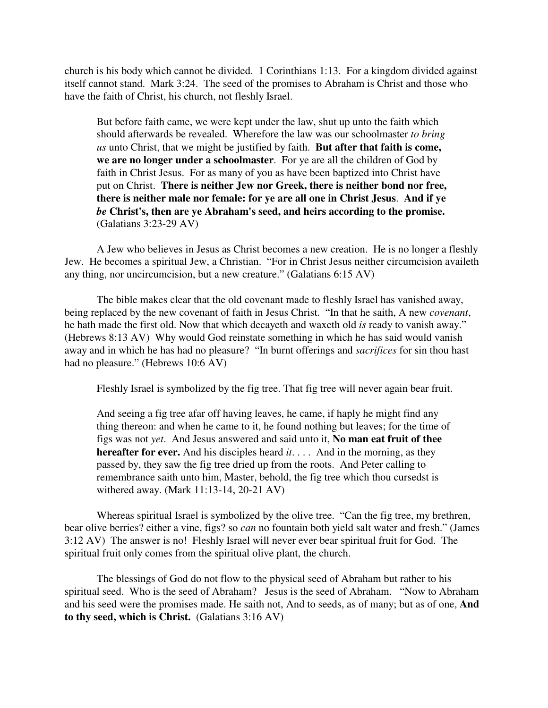church is his body which cannot be divided. 1 Corinthians 1:13. For a kingdom divided against itself cannot stand. Mark 3:24. The seed of the promises to Abraham is Christ and those who have the faith of Christ, his church, not fleshly Israel.

But before faith came, we were kept under the law, shut up unto the faith which should afterwards be revealed. Wherefore the law was our schoolmaster *to bring us* unto Christ, that we might be justified by faith. **But after that faith is come, we are no longer under a schoolmaster**. For ye are all the children of God by faith in Christ Jesus. For as many of you as have been baptized into Christ have put on Christ. **There is neither Jew nor Greek, there is neither bond nor free, there is neither male nor female: for ye are all one in Christ Jesus**. **And if ye** *be* **Christ's, then are ye Abraham's seed, and heirs according to the promise.** (Galatians 3:23-29 AV)

A Jew who believes in Jesus as Christ becomes a new creation. He is no longer a fleshly Jew. He becomes a spiritual Jew, a Christian. "For in Christ Jesus neither circumcision availeth any thing, nor uncircumcision, but a new creature." (Galatians 6:15 AV)

The bible makes clear that the old covenant made to fleshly Israel has vanished away, being replaced by the new covenant of faith in Jesus Christ. "In that he saith, A new *covenant*, he hath made the first old. Now that which decayeth and waxeth old *is* ready to vanish away." (Hebrews 8:13 AV) Why would God reinstate something in which he has said would vanish away and in which he has had no pleasure? "In burnt offerings and *sacrifices* for sin thou hast had no pleasure." (Hebrews 10:6 AV)

Fleshly Israel is symbolized by the fig tree. That fig tree will never again bear fruit.

And seeing a fig tree afar off having leaves, he came, if haply he might find any thing thereon: and when he came to it, he found nothing but leaves; for the time of figs was not *yet*. And Jesus answered and said unto it, **No man eat fruit of thee hereafter for ever.** And his disciples heard *it*. . . . And in the morning, as they passed by, they saw the fig tree dried up from the roots. And Peter calling to remembrance saith unto him, Master, behold, the fig tree which thou cursedst is withered away. (Mark 11:13-14, 20-21 AV)

Whereas spiritual Israel is symbolized by the olive tree. "Can the fig tree, my brethren, bear olive berries? either a vine, figs? so *can* no fountain both yield salt water and fresh." (James 3:12 AV) The answer is no! Fleshly Israel will never ever bear spiritual fruit for God. The spiritual fruit only comes from the spiritual olive plant, the church.

The blessings of God do not flow to the physical seed of Abraham but rather to his spiritual seed. Who is the seed of Abraham? Jesus is the seed of Abraham. "Now to Abraham and his seed were the promises made. He saith not, And to seeds, as of many; but as of one, **And to thy seed, which is Christ.** (Galatians 3:16 AV)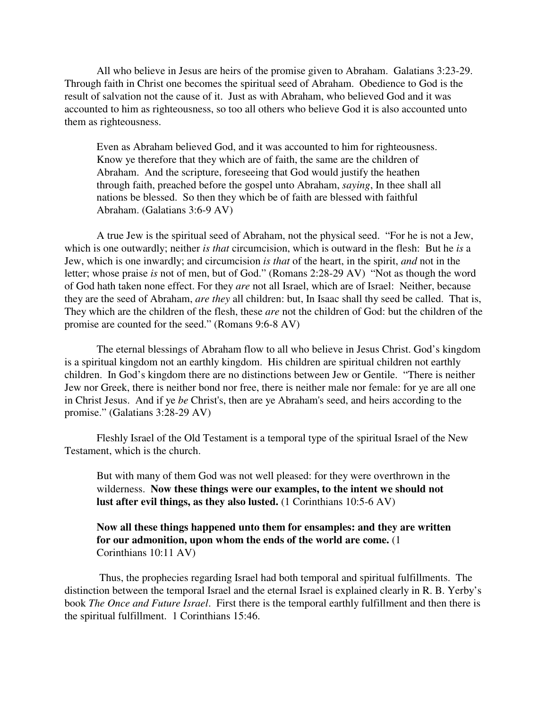All who believe in Jesus are heirs of the promise given to Abraham. Galatians 3:23-29. Through faith in Christ one becomes the spiritual seed of Abraham. Obedience to God is the result of salvation not the cause of it. Just as with Abraham, who believed God and it was accounted to him as righteousness, so too all others who believe God it is also accounted unto them as righteousness.

Even as Abraham believed God, and it was accounted to him for righteousness. Know ye therefore that they which are of faith, the same are the children of Abraham. And the scripture, foreseeing that God would justify the heathen through faith, preached before the gospel unto Abraham, *saying*, In thee shall all nations be blessed. So then they which be of faith are blessed with faithful Abraham. (Galatians 3:6-9 AV)

A true Jew is the spiritual seed of Abraham, not the physical seed. "For he is not a Jew, which is one outwardly; neither *is that* circumcision, which is outward in the flesh: But he *is* a Jew, which is one inwardly; and circumcision *is that* of the heart, in the spirit, *and* not in the letter; whose praise *is* not of men, but of God." (Romans 2:28-29 AV) "Not as though the word of God hath taken none effect. For they *are* not all Israel, which are of Israel: Neither, because they are the seed of Abraham, *are they* all children: but, In Isaac shall thy seed be called. That is, They which are the children of the flesh, these *are* not the children of God: but the children of the promise are counted for the seed." (Romans 9:6-8 AV)

The eternal blessings of Abraham flow to all who believe in Jesus Christ. God's kingdom is a spiritual kingdom not an earthly kingdom. His children are spiritual children not earthly children. In God's kingdom there are no distinctions between Jew or Gentile. "There is neither Jew nor Greek, there is neither bond nor free, there is neither male nor female: for ye are all one in Christ Jesus. And if ye *be* Christ's, then are ye Abraham's seed, and heirs according to the promise." (Galatians 3:28-29 AV)

Fleshly Israel of the Old Testament is a temporal type of the spiritual Israel of the New Testament, which is the church.

But with many of them God was not well pleased: for they were overthrown in the wilderness. **Now these things were our examples, to the intent we should not lust after evil things, as they also lusted.** (1 Corinthians 10:5-6 AV)

**Now all these things happened unto them for ensamples: and they are written for our admonition, upon whom the ends of the world are come.** (1 Corinthians 10:11 AV)

 Thus, the prophecies regarding Israel had both temporal and spiritual fulfillments. The distinction between the temporal Israel and the eternal Israel is explained clearly in R. B. Yerby's book *The Once and Future Israel*. First there is the temporal earthly fulfillment and then there is the spiritual fulfillment. 1 Corinthians 15:46.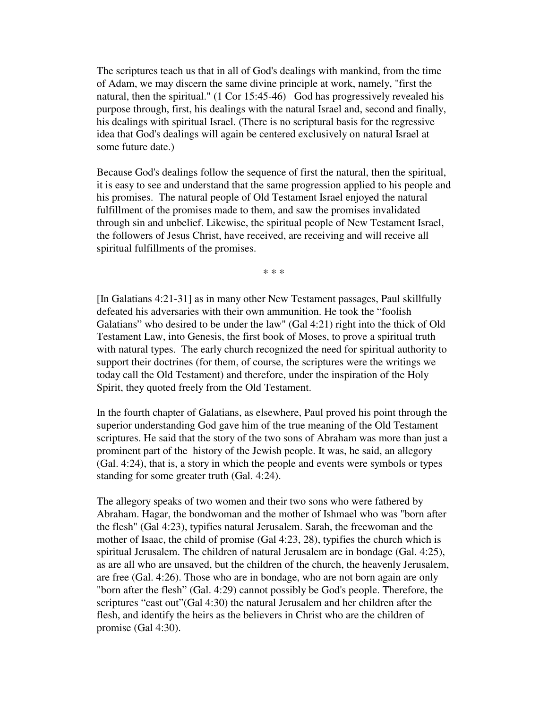The scriptures teach us that in all of God's dealings with mankind, from the time of Adam, we may discern the same divine principle at work, namely, "first the natural, then the spiritual." (1 Cor 15:45-46) God has progressively revealed his purpose through, first, his dealings with the natural Israel and, second and finally, his dealings with spiritual Israel. (There is no scriptural basis for the regressive idea that God's dealings will again be centered exclusively on natural Israel at some future date.)

Because God's dealings follow the sequence of first the natural, then the spiritual, it is easy to see and understand that the same progression applied to his people and his promises. The natural people of Old Testament Israel enjoyed the natural fulfillment of the promises made to them, and saw the promises invalidated through sin and unbelief. Likewise, the spiritual people of New Testament Israel, the followers of Jesus Christ, have received, are receiving and will receive all spiritual fulfillments of the promises.

\* \* \*

[In Galatians 4:21-31] as in many other New Testament passages, Paul skillfully defeated his adversaries with their own ammunition. He took the "foolish Galatians" who desired to be under the law" (Gal 4:21) right into the thick of Old Testament Law, into Genesis, the first book of Moses, to prove a spiritual truth with natural types. The early church recognized the need for spiritual authority to support their doctrines (for them, of course, the scriptures were the writings we today call the Old Testament) and therefore, under the inspiration of the Holy Spirit, they quoted freely from the Old Testament.

In the fourth chapter of Galatians, as elsewhere, Paul proved his point through the superior understanding God gave him of the true meaning of the Old Testament scriptures. He said that the story of the two sons of Abraham was more than just a prominent part of the history of the Jewish people. It was, he said, an allegory (Gal. 4:24), that is, a story in which the people and events were symbols or types standing for some greater truth (Gal. 4:24).

The allegory speaks of two women and their two sons who were fathered by Abraham. Hagar, the bondwoman and the mother of Ishmael who was "born after the flesh" (Gal 4:23), typifies natural Jerusalem. Sarah, the freewoman and the mother of Isaac, the child of promise (Gal 4:23, 28), typifies the church which is spiritual Jerusalem. The children of natural Jerusalem are in bondage (Gal. 4:25), as are all who are unsaved, but the children of the church, the heavenly Jerusalem, are free (Gal. 4:26). Those who are in bondage, who are not born again are only "born after the flesh" (Gal. 4:29) cannot possibly be God's people. Therefore, the scriptures "cast out"(Gal 4:30) the natural Jerusalem and her children after the flesh, and identify the heirs as the believers in Christ who are the children of promise (Gal 4:30).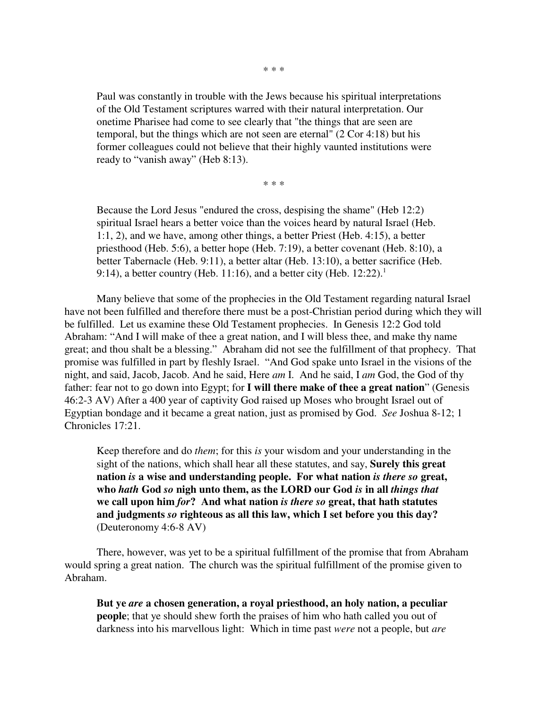Paul was constantly in trouble with the Jews because his spiritual interpretations of the Old Testament scriptures warred with their natural interpretation. Our onetime Pharisee had come to see clearly that "the things that are seen are temporal, but the things which are not seen are eternal" (2 Cor 4:18) but his former colleagues could not believe that their highly vaunted institutions were ready to "vanish away" (Heb 8:13).

\* \* \*

Because the Lord Jesus "endured the cross, despising the shame" (Heb 12:2) spiritual Israel hears a better voice than the voices heard by natural Israel (Heb. 1:1, 2), and we have, among other things, a better Priest (Heb. 4:15), a better priesthood (Heb. 5:6), a better hope (Heb. 7:19), a better covenant (Heb. 8:10), a better Tabernacle (Heb. 9:11), a better altar (Heb. 13:10), a better sacrifice (Heb. 9:14), a better country (Heb. 11:16), and a better city (Heb.  $12:22$ ).<sup>1</sup>

Many believe that some of the prophecies in the Old Testament regarding natural Israel have not been fulfilled and therefore there must be a post-Christian period during which they will be fulfilled. Let us examine these Old Testament prophecies. In Genesis 12:2 God told Abraham: "And I will make of thee a great nation, and I will bless thee, and make thy name great; and thou shalt be a blessing." Abraham did not see the fulfillment of that prophecy. That promise was fulfilled in part by fleshly Israel. "And God spake unto Israel in the visions of the night, and said, Jacob, Jacob. And he said, Here *am* I. And he said, I *am* God, the God of thy father: fear not to go down into Egypt; for **I will there make of thee a great nation**" (Genesis 46:2-3 AV) After a 400 year of captivity God raised up Moses who brought Israel out of Egyptian bondage and it became a great nation, just as promised by God. *See* Joshua 8-12; 1 Chronicles 17:21.

Keep therefore and do *them*; for this *is* your wisdom and your understanding in the sight of the nations, which shall hear all these statutes, and say, **Surely this great nation** *is* **a wise and understanding people. For what nation** *is there so* **great, who** *hath* **God** *so* **nigh unto them, as the LORD our God** *is* **in all** *things that* **we call upon him** *for***? And what nation** *is there so* **great, that hath statutes and judgments** *so* **righteous as all this law, which I set before you this day?** (Deuteronomy 4:6-8 AV)

There, however, was yet to be a spiritual fulfillment of the promise that from Abraham would spring a great nation. The church was the spiritual fulfillment of the promise given to Abraham.

**But ye** *are* **a chosen generation, a royal priesthood, an holy nation, a peculiar people**; that ye should shew forth the praises of him who hath called you out of darkness into his marvellous light: Which in time past *were* not a people, but *are*

\* \* \*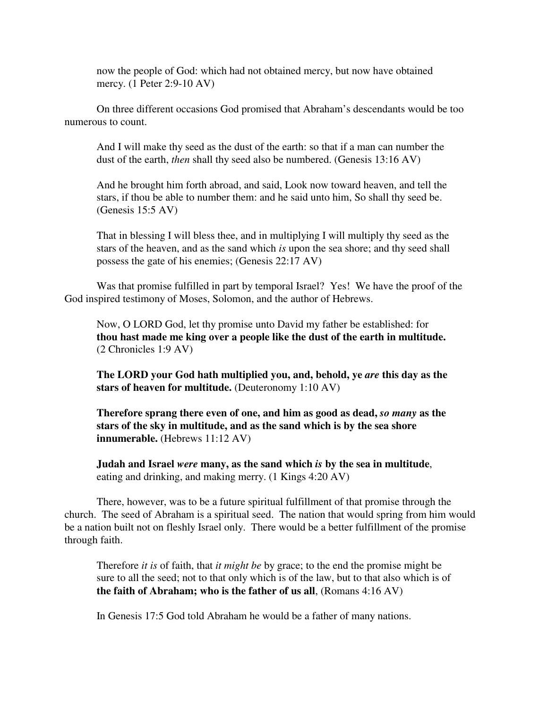now the people of God: which had not obtained mercy, but now have obtained mercy. (1 Peter 2:9-10 AV)

On three different occasions God promised that Abraham's descendants would be too numerous to count.

And I will make thy seed as the dust of the earth: so that if a man can number the dust of the earth, *then* shall thy seed also be numbered. (Genesis 13:16 AV)

And he brought him forth abroad, and said, Look now toward heaven, and tell the stars, if thou be able to number them: and he said unto him, So shall thy seed be. (Genesis 15:5 AV)

That in blessing I will bless thee, and in multiplying I will multiply thy seed as the stars of the heaven, and as the sand which *is* upon the sea shore; and thy seed shall possess the gate of his enemies; (Genesis 22:17 AV)

Was that promise fulfilled in part by temporal Israel? Yes! We have the proof of the God inspired testimony of Moses, Solomon, and the author of Hebrews.

Now, O LORD God, let thy promise unto David my father be established: for **thou hast made me king over a people like the dust of the earth in multitude.** (2 Chronicles 1:9 AV)

**The LORD your God hath multiplied you, and, behold, ye** *are* **this day as the stars of heaven for multitude.** (Deuteronomy 1:10 AV)

**Therefore sprang there even of one, and him as good as dead,** *so many* **as the stars of the sky in multitude, and as the sand which is by the sea shore innumerable.** (Hebrews 11:12 AV)

**Judah and Israel** *were* **many, as the sand which** *is* **by the sea in multitude**, eating and drinking, and making merry. (1 Kings 4:20 AV)

There, however, was to be a future spiritual fulfillment of that promise through the church. The seed of Abraham is a spiritual seed. The nation that would spring from him would be a nation built not on fleshly Israel only. There would be a better fulfillment of the promise through faith.

Therefore *it is* of faith, that *it might be* by grace; to the end the promise might be sure to all the seed; not to that only which is of the law, but to that also which is of **the faith of Abraham; who is the father of us all**, (Romans 4:16 AV)

In Genesis 17:5 God told Abraham he would be a father of many nations.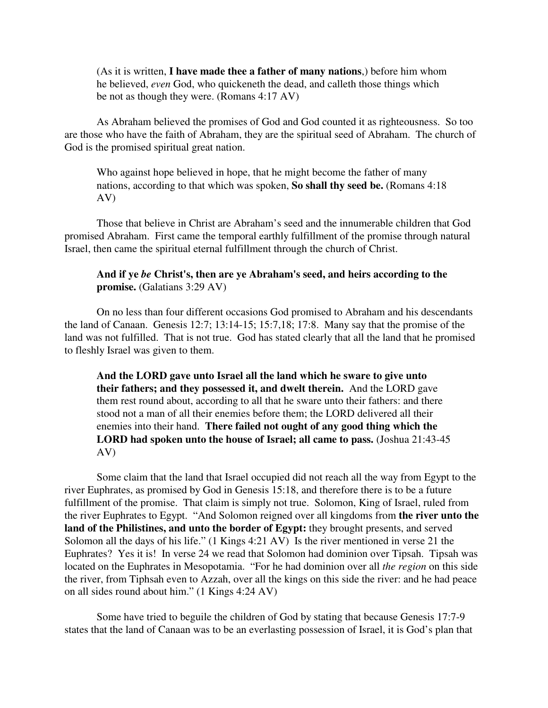(As it is written, **I have made thee a father of many nations**,) before him whom he believed, *even* God, who quickeneth the dead, and calleth those things which be not as though they were. (Romans 4:17 AV)

As Abraham believed the promises of God and God counted it as righteousness. So too are those who have the faith of Abraham, they are the spiritual seed of Abraham. The church of God is the promised spiritual great nation.

Who against hope believed in hope, that he might become the father of many nations, according to that which was spoken, **So shall thy seed be.** (Romans 4:18 AV)

Those that believe in Christ are Abraham's seed and the innumerable children that God promised Abraham. First came the temporal earthly fulfillment of the promise through natural Israel, then came the spiritual eternal fulfillment through the church of Christ.

## **And if ye** *be* **Christ's, then are ye Abraham's seed, and heirs according to the promise.** (Galatians 3:29 AV)

On no less than four different occasions God promised to Abraham and his descendants the land of Canaan. Genesis 12:7; 13:14-15; 15:7,18; 17:8. Many say that the promise of the land was not fulfilled. That is not true. God has stated clearly that all the land that he promised to fleshly Israel was given to them.

**And the LORD gave unto Israel all the land which he sware to give unto their fathers; and they possessed it, and dwelt therein.** And the LORD gave them rest round about, according to all that he sware unto their fathers: and there stood not a man of all their enemies before them; the LORD delivered all their enemies into their hand. **There failed not ought of any good thing which the LORD had spoken unto the house of Israel; all came to pass.** (Joshua 21:43-45 AV)

Some claim that the land that Israel occupied did not reach all the way from Egypt to the river Euphrates, as promised by God in Genesis 15:18, and therefore there is to be a future fulfillment of the promise. That claim is simply not true. Solomon, King of Israel, ruled from the river Euphrates to Egypt. "And Solomon reigned over all kingdoms from **the river unto the land of the Philistines, and unto the border of Egypt:** they brought presents, and served Solomon all the days of his life." (1 Kings 4:21 AV) Is the river mentioned in verse 21 the Euphrates? Yes it is! In verse 24 we read that Solomon had dominion over Tipsah. Tipsah was located on the Euphrates in Mesopotamia. "For he had dominion over all *the region* on this side the river, from Tiphsah even to Azzah, over all the kings on this side the river: and he had peace on all sides round about him." (1 Kings 4:24 AV)

Some have tried to beguile the children of God by stating that because Genesis 17:7-9 states that the land of Canaan was to be an everlasting possession of Israel, it is God's plan that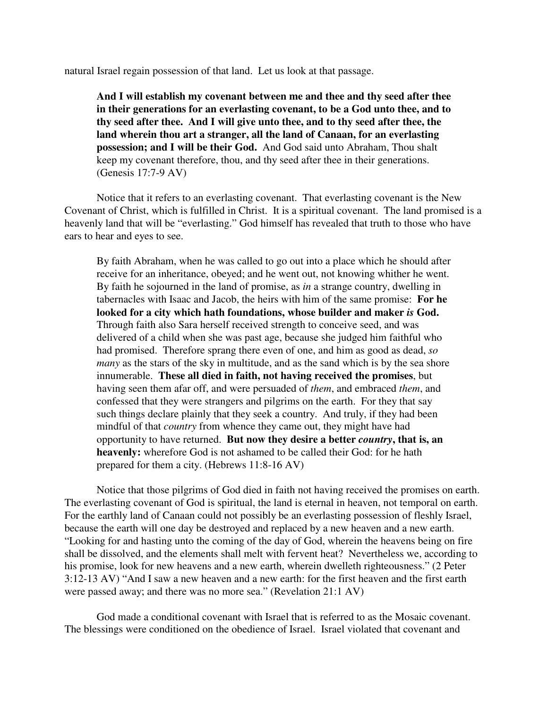natural Israel regain possession of that land. Let us look at that passage.

**And I will establish my covenant between me and thee and thy seed after thee in their generations for an everlasting covenant, to be a God unto thee, and to thy seed after thee. And I will give unto thee, and to thy seed after thee, the land wherein thou art a stranger, all the land of Canaan, for an everlasting possession; and I will be their God.** And God said unto Abraham, Thou shalt keep my covenant therefore, thou, and thy seed after thee in their generations. (Genesis 17:7-9 AV)

Notice that it refers to an everlasting covenant. That everlasting covenant is the New Covenant of Christ, which is fulfilled in Christ. It is a spiritual covenant. The land promised is a heavenly land that will be "everlasting." God himself has revealed that truth to those who have ears to hear and eyes to see.

By faith Abraham, when he was called to go out into a place which he should after receive for an inheritance, obeyed; and he went out, not knowing whither he went. By faith he sojourned in the land of promise, as *in* a strange country, dwelling in tabernacles with Isaac and Jacob, the heirs with him of the same promise: **For he looked for a city which hath foundations, whose builder and maker** *is* **God.** Through faith also Sara herself received strength to conceive seed, and was delivered of a child when she was past age, because she judged him faithful who had promised. Therefore sprang there even of one, and him as good as dead, *so many* as the stars of the sky in multitude, and as the sand which is by the sea shore innumerable. **These all died in faith, not having received the promises**, but having seen them afar off, and were persuaded of *them*, and embraced *them*, and confessed that they were strangers and pilgrims on the earth. For they that say such things declare plainly that they seek a country. And truly, if they had been mindful of that *country* from whence they came out, they might have had opportunity to have returned. **But now they desire a better** *country***, that is, an heavenly:** wherefore God is not ashamed to be called their God: for he hath prepared for them a city. (Hebrews 11:8-16 AV)

Notice that those pilgrims of God died in faith not having received the promises on earth. The everlasting covenant of God is spiritual, the land is eternal in heaven, not temporal on earth. For the earthly land of Canaan could not possibly be an everlasting possession of fleshly Israel, because the earth will one day be destroyed and replaced by a new heaven and a new earth. "Looking for and hasting unto the coming of the day of God, wherein the heavens being on fire shall be dissolved, and the elements shall melt with fervent heat? Nevertheless we, according to his promise, look for new heavens and a new earth, wherein dwelleth righteousness." (2 Peter 3:12-13 AV) "And I saw a new heaven and a new earth: for the first heaven and the first earth were passed away; and there was no more sea." (Revelation 21:1 AV)

God made a conditional covenant with Israel that is referred to as the Mosaic covenant. The blessings were conditioned on the obedience of Israel. Israel violated that covenant and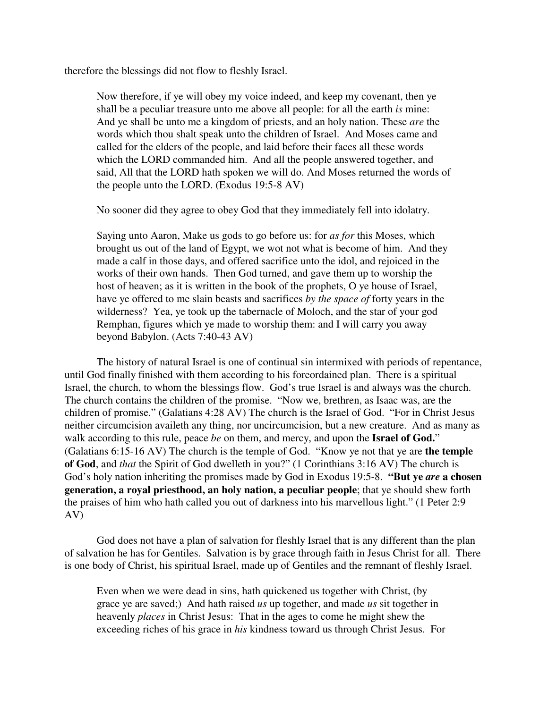therefore the blessings did not flow to fleshly Israel.

Now therefore, if ye will obey my voice indeed, and keep my covenant, then ye shall be a peculiar treasure unto me above all people: for all the earth *is* mine: And ye shall be unto me a kingdom of priests, and an holy nation. These *are* the words which thou shalt speak unto the children of Israel. And Moses came and called for the elders of the people, and laid before their faces all these words which the LORD commanded him. And all the people answered together, and said, All that the LORD hath spoken we will do. And Moses returned the words of the people unto the LORD. (Exodus 19:5-8 AV)

No sooner did they agree to obey God that they immediately fell into idolatry.

Saying unto Aaron, Make us gods to go before us: for *as for* this Moses, which brought us out of the land of Egypt, we wot not what is become of him. And they made a calf in those days, and offered sacrifice unto the idol, and rejoiced in the works of their own hands. Then God turned, and gave them up to worship the host of heaven; as it is written in the book of the prophets, O ye house of Israel, have ye offered to me slain beasts and sacrifices *by the space of* forty years in the wilderness? Yea, ye took up the tabernacle of Moloch, and the star of your god Remphan, figures which ye made to worship them: and I will carry you away beyond Babylon. (Acts 7:40-43 AV)

The history of natural Israel is one of continual sin intermixed with periods of repentance, until God finally finished with them according to his foreordained plan. There is a spiritual Israel, the church, to whom the blessings flow. God's true Israel is and always was the church. The church contains the children of the promise. "Now we, brethren, as Isaac was, are the children of promise." (Galatians 4:28 AV) The church is the Israel of God. "For in Christ Jesus neither circumcision availeth any thing, nor uncircumcision, but a new creature. And as many as walk according to this rule, peace *be* on them, and mercy, and upon the **Israel of God.**" (Galatians 6:15-16 AV) The church is the temple of God. "Know ye not that ye are **the temple of God**, and *that* the Spirit of God dwelleth in you?" (1 Corinthians 3:16 AV) The church is God's holy nation inheriting the promises made by God in Exodus 19:5-8. **"But ye** *are* **a chosen generation, a royal priesthood, an holy nation, a peculiar people**; that ye should shew forth the praises of him who hath called you out of darkness into his marvellous light." (1 Peter 2:9 AV)

God does not have a plan of salvation for fleshly Israel that is any different than the plan of salvation he has for Gentiles. Salvation is by grace through faith in Jesus Christ for all. There is one body of Christ, his spiritual Israel, made up of Gentiles and the remnant of fleshly Israel.

Even when we were dead in sins, hath quickened us together with Christ, (by grace ye are saved;) And hath raised *us* up together, and made *us* sit together in heavenly *places* in Christ Jesus: That in the ages to come he might shew the exceeding riches of his grace in *his* kindness toward us through Christ Jesus. For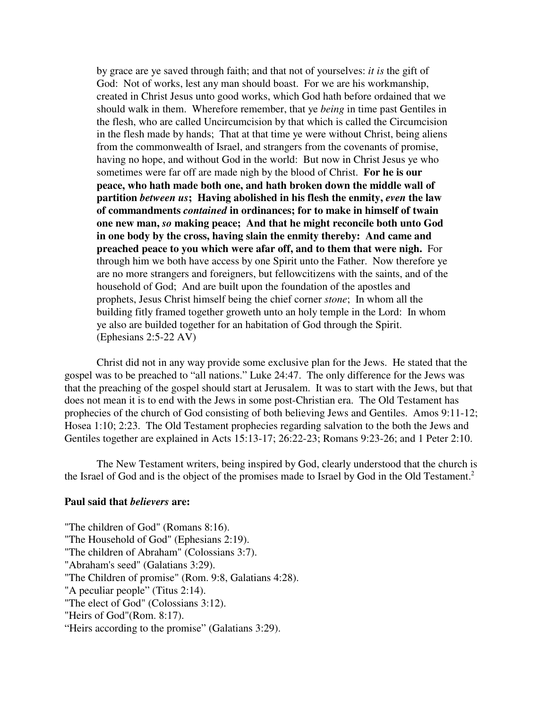by grace are ye saved through faith; and that not of yourselves: *it is* the gift of God: Not of works, lest any man should boast. For we are his workmanship, created in Christ Jesus unto good works, which God hath before ordained that we should walk in them. Wherefore remember, that ye *being* in time past Gentiles in the flesh, who are called Uncircumcision by that which is called the Circumcision in the flesh made by hands; That at that time ye were without Christ, being aliens from the commonwealth of Israel, and strangers from the covenants of promise, having no hope, and without God in the world: But now in Christ Jesus ye who sometimes were far off are made nigh by the blood of Christ. **For he is our peace, who hath made both one, and hath broken down the middle wall of partition** *between us***; Having abolished in his flesh the enmity,** *even* **the law of commandments** *contained* **in ordinances; for to make in himself of twain one new man,** *so* **making peace; And that he might reconcile both unto God in one body by the cross, having slain the enmity thereby: And came and preached peace to you which were afar off, and to them that were nigh.** For through him we both have access by one Spirit unto the Father. Now therefore ye are no more strangers and foreigners, but fellowcitizens with the saints, and of the household of God; And are built upon the foundation of the apostles and prophets, Jesus Christ himself being the chief corner *stone*; In whom all the building fitly framed together groweth unto an holy temple in the Lord: In whom ye also are builded together for an habitation of God through the Spirit. (Ephesians 2:5-22 AV)

Christ did not in any way provide some exclusive plan for the Jews. He stated that the gospel was to be preached to "all nations." Luke 24:47. The only difference for the Jews was that the preaching of the gospel should start at Jerusalem. It was to start with the Jews, but that does not mean it is to end with the Jews in some post-Christian era. The Old Testament has prophecies of the church of God consisting of both believing Jews and Gentiles. Amos 9:11-12; Hosea 1:10; 2:23. The Old Testament prophecies regarding salvation to the both the Jews and Gentiles together are explained in Acts 15:13-17; 26:22-23; Romans 9:23-26; and 1 Peter 2:10.

The New Testament writers, being inspired by God, clearly understood that the church is the Israel of God and is the object of the promises made to Israel by God in the Old Testament.<sup>2</sup>

#### **Paul said that** *believers* **are:**

"The children of God" (Romans 8:16). "The Household of God" (Ephesians 2:19). "The children of Abraham" (Colossians 3:7). "Abraham's seed" (Galatians 3:29). "The Children of promise" (Rom. 9:8, Galatians 4:28). "A peculiar people" (Titus 2:14). "The elect of God" (Colossians 3:12). "Heirs of God"(Rom. 8:17). "Heirs according to the promise" (Galatians 3:29).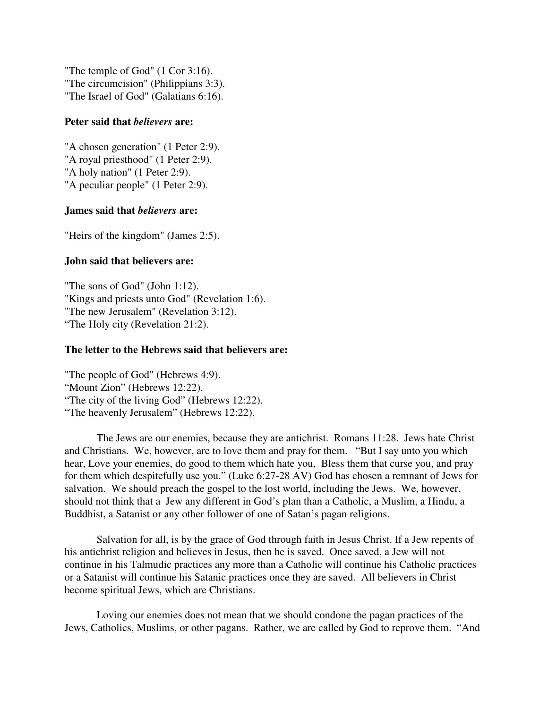"The temple of God" (1 Cor 3:16). "The circumcision" (Philippians 3:3). "The Israel of God" (Galatians 6:16).

### **Peter said that** *believers* **are:**

"A chosen generation" (1 Peter 2:9). "A royal priesthood" (1 Peter 2:9). "A holy nation" (1 Peter 2:9). "A peculiar people" (1 Peter 2:9).

#### **James said that** *believers* **are:**

"Heirs of the kingdom" (James 2:5).

#### **John said that believers are:**

"The sons of God" (John 1:12). "Kings and priests unto God" (Revelation 1:6). "The new Jerusalem" (Revelation 3:12). "The Holy city (Revelation 21:2).

#### **The letter to the Hebrews said that believers are:**

"The people of God" (Hebrews 4:9). "Mount Zion" (Hebrews 12:22). "The city of the living God" (Hebrews 12:22). "The heavenly Jerusalem" (Hebrews 12:22).

The Jews are our enemies, because they are antichrist. Romans 11:28. Jews hate Christ and Christians. We, however, are to love them and pray for them. "But I say unto you which hear, Love your enemies, do good to them which hate you, Bless them that curse you, and pray for them which despitefully use you." (Luke 6:27-28 AV) God has chosen a remnant of Jews for salvation. We should preach the gospel to the lost world, including the Jews. We, however, should not think that a Jew any different in God's plan than a Catholic, a Muslim, a Hindu, a Buddhist, a Satanist or any other follower of one of Satan's pagan religions.

Salvation for all, is by the grace of God through faith in Jesus Christ. If a Jew repents of his antichrist religion and believes in Jesus, then he is saved. Once saved, a Jew will not continue in his Talmudic practices any more than a Catholic will continue his Catholic practices or a Satanist will continue his Satanic practices once they are saved. All believers in Christ become spiritual Jews, which are Christians.

Loving our enemies does not mean that we should condone the pagan practices of the Jews, Catholics, Muslims, or other pagans. Rather, we are called by God to reprove them. "And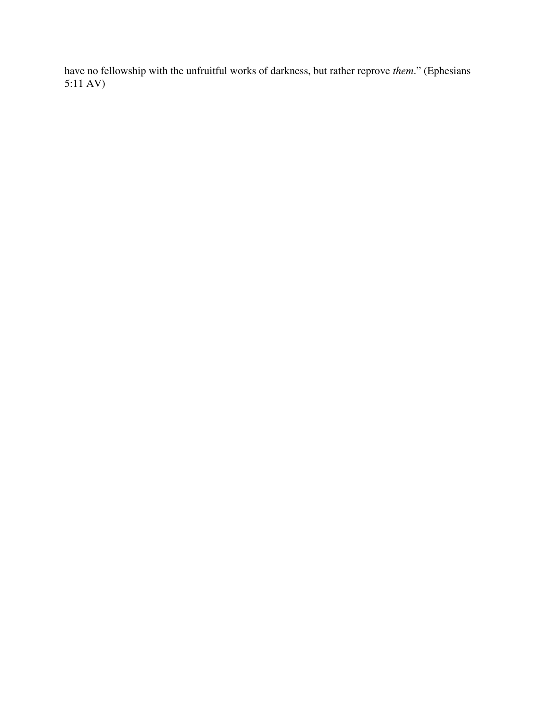have no fellowship with the unfruitful works of darkness, but rather reprove *them*." (Ephesians 5:11 AV)